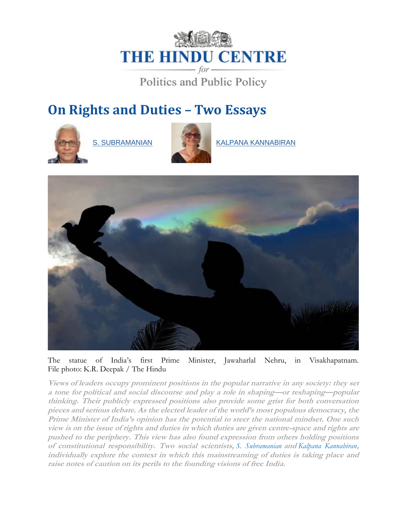# **THE HINDU CENTRE** - for-

Politics and Public Policy

# **On Rights and Duties – Two Essays**





[S. SUBRAMANIAN](https://www.thehinducentre.com/profile/author/S.-Subramanian-18435/) [KALPANA KANNABIRAN](https://www.thehinducentre.com/profile/author/Kalpana-Kannabiran-143830/)



The statue of India's first Prime Minister, Jawaharlal Nehru, in Visakhapatnam. File photo: K.R. Deepak / The Hindu

**Views of leaders occupy prominent positions in the popular narrative in any society: they set a tone for political and social discourse and play a role in shaping—or reshaping—popular thinking. Their publicly expressed positions also provide some grist for both conversation pieces and serious debate. As the elected leader of the world's most populous democracy, the Prime Minister of India's opinion has the potential to steer the national mindset. One such view is on the issue of rights and duties in which duties are given centre-space and rights are pushed to the periphery. This view has also found expression from others holding positions of constitutional responsibility. Two social scientists,** *S. Subramanian* **and** *Kalpana Kannabiran***, individually explore the context in which this mainstreaming of duties is taking place and raise notes of caution on its perils to the founding visions of free India.**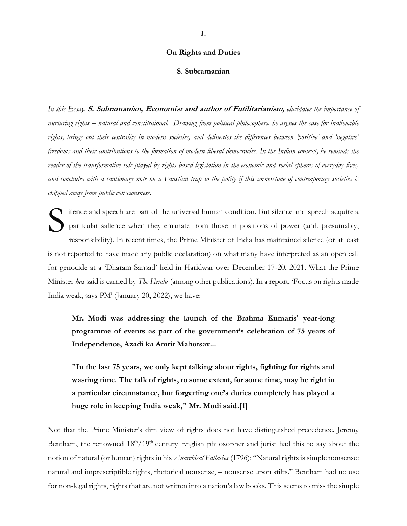# **On Rights and Duties**

# **S. Subramanian**

*In this Essay,* **S. Subramanian, Economist and author of Futilitarianism***, elucidates the importance of nurturing rights – natural and constitutional. Drawing from political philosophers, he argues the case for inalienable rights, brings out their centrality in modern societies, and delineates the differences between 'positive' and 'negative' freedoms and their contributions to the formation of modern liberal democracies. In the Indian context, he reminds the reader of the transformative role played by rights-based legislation in the economic and social spheres of everyday lives, and concludes with a cautionary note on a Faustian trap to the polity if this cornerstone of contemporary societies is chipped away from public consciousness.*

ilence and speech are part of the universal human condition. But silence and speech acquire a particular salience when they emanate from those in positions of power (and, presumably, responsibility). In recent times, the Prime Minister of India has maintained silence (or at least is not reported to have made any public declaration) on what many have interpreted as an open call for genocide at a 'Dharam Sansad' held in Haridwar over December 17-20, 2021. What the Prime Minister *has* said is carried by *The Hindu* (among other publications). In a report, 'Focus on rights made India weak, says PM' (January 20, 2022), we have: S

**Mr. Modi was addressing the launch of the Brahma Kumaris' year-long programme of events as part of the government's celebration of 75 years of Independence, Azadi ka Amrit Mahotsav...**

**"In the last 75 years, we only kept talking about rights, fighting for rights and wasting time. The talk of rights, to some extent, for some time, may be right in a particular circumstance, but forgetting one's duties completely has played a huge role in keeping India weak," Mr. Modi said.[1]**

Not that the Prime Minister's dim view of rights does not have distinguished precedence. Jeremy Bentham, the renowned 18<sup>th</sup>/19<sup>th</sup> century English philosopher and jurist had this to say about the notion of natural (or human) rights in his *Anarchical Fallacies* (1796): "Natural rights is simple nonsense: natural and imprescriptible rights, rhetorical nonsense, – nonsense upon stilts." Bentham had no use for non-legal rights, rights that are not written into a nation's law books. This seems to miss the simple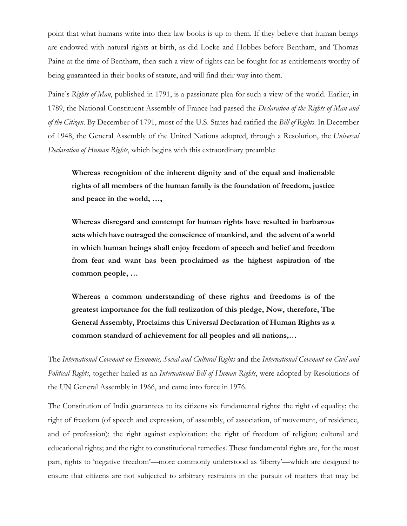point that what humans write into their law books is up to them. If they believe that human beings are endowed with natural rights at birth, as did Locke and Hobbes before Bentham, and Thomas Paine at the time of Bentham, then such a view of rights can be fought for as entitlements worthy of being guaranteed in their books of statute, and will find their way into them.

Paine's *Rights of Man*, published in 1791, is a passionate plea for such a view of the world. Earlier, in 1789, the National Constituent Assembly of France had passed the *Declaration of the Rights of Man and of the Citizen*. By December of 1791, most of the U.S. States had ratified the *Bill of Rights*. In December of 1948, the General Assembly of the United Nations adopted, through a Resolution, the *Universal Declaration of Human Rights*, which begins with this extraordinary preamble:

**Whereas recognition of the inherent dignity and of the equal and inalienable rights of all members of the human family is the foundation of freedom, justice and peace in the world, …,**

**Whereas disregard and contempt for human rights have resulted in barbarous acts which have outraged the conscience of mankind, and the advent of a world in which human beings shall enjoy freedom of speech and belief and freedom from fear and want has been proclaimed as the highest aspiration of the common people, …**

**Whereas a common understanding of these rights and freedoms is of the greatest importance for the full realization of this pledge, Now, therefore, The General Assembly, Proclaims this Universal Declaration of Human Rights as a common standard of achievement for all peoples and all nations,…**

The *International Covenant on Economic, Social and Cultural Rights* and the *International Covenant on Civil and Political Rights*, together hailed as an *International Bill of Human Rights*, were adopted by Resolutions of the UN General Assembly in 1966, and came into force in 1976.

The Constitution of India guarantees to its citizens six fundamental rights: the right of equality; the right of freedom (of speech and expression, of assembly, of association, of movement, of residence, and of profession); the right against exploitation; the right of freedom of religion; cultural and educational rights; and the right to constitutional remedies. These fundamental rights are, for the most part, rights to 'negative freedom'—more commonly understood as 'liberty'—which are designed to ensure that citizens are not subjected to arbitrary restraints in the pursuit of matters that may be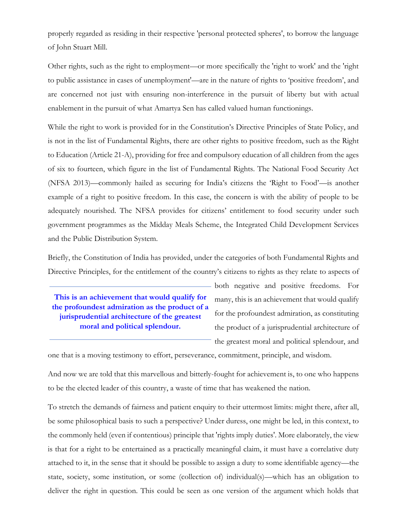properly regarded as residing in their respective 'personal protected spheres', to borrow the language of John Stuart Mill.

Other rights, such as the right to employment—or more specifically the 'right to work' and the 'right to public assistance in cases of unemployment'—are in the nature of rights to 'positive freedom', and are concerned not just with ensuring non-interference in the pursuit of liberty but with actual enablement in the pursuit of what Amartya Sen has called valued human functionings.

While the right to work is provided for in the Constitution's Directive Principles of State Policy, and is not in the list of Fundamental Rights, there are other rights to positive freedom, such as the Right to Education (Article 21-A), providing for free and compulsory education of all children from the ages of six to fourteen, which figure in the list of Fundamental Rights. The National Food Security Act (NFSA 2013)—commonly hailed as securing for India's citizens the 'Right to Food'—is another example of a right to positive freedom. In this case, the concern is with the ability of people to be adequately nourished. The NFSA provides for citizens' entitlement to food security under such government programmes as the Midday Meals Scheme, the Integrated Child Development Services and the Public Distribution System.

Briefly, the Constitution of India has provided, under the categories of both Fundamental Rights and Directive Principles, for the entitlement of the country's citizens to rights as they relate to aspects of

**This is an achievement that would qualify for the profoundest admiration as the product of a jurisprudential architecture of the greatest moral and political splendour.**

both negative and positive freedoms. For many, this is an achievement that would qualify for the profoundest admiration, as constituting the product of a jurisprudential architecture of the greatest moral and political splendour, and

one that is a moving testimony to effort, perseverance, commitment, principle, and wisdom.

And now we are told that this marvellous and bitterly-fought for achievement is, to one who happens to be the elected leader of this country, a waste of time that has weakened the nation.

To stretch the demands of fairness and patient enquiry to their uttermost limits: might there, after all, be some philosophical basis to such a perspective? Under duress, one might be led, in this context, to the commonly held (even if contentious) principle that 'rights imply duties'. More elaborately, the view is that for a right to be entertained as a practically meaningful claim, it must have a correlative duty attached to it, in the sense that it should be possible to assign a duty to some identifiable agency—the state, society, some institution, or some (collection of) individual(s)—which has an obligation to deliver the right in question. This could be seen as one version of the argument which holds that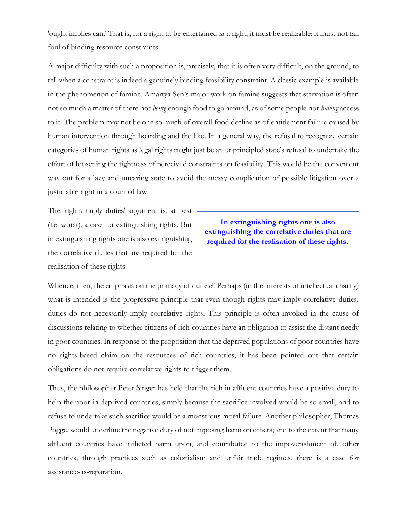'ought implies can.' That is, for a right to be entertained *as* a right, it must be realizable: it must not fall foul of binding resource constraints.

A major difficulty with such a proposition is, precisely, that it is often very difficult, on the ground, to tell when a constraint is indeed a genuinely binding feasibility constraint. A classic example is available in the phenomenon of famine. Amartya Sen's major work on famine suggests that starvation is often not so much a matter of there not *being* enough food to go around, as of some people not *having* access to it. The problem may not be one so much of overall food decline as of entitlement failure caused by human intervention through hoarding and the like. In a general way, the refusal to recognize certain categories of human rights as legal rights might just be an unprincipled state's refusal to undertake the effort of loosening the tightness of perceived constraints on feasibility. This would be the convenient way out for a lazy and uncaring state to avoid the messy complication of possible litigation over a justiciable right in a court of law.

The 'rights imply duties' argument is, at best (i.e. worst), a case for extinguishing rights. But in extinguishing rights one is also extinguishing the correlative duties that are required for the realisation of these rights!

**In extinguishing rights one is also extinguishing the correlative duties that are required for the realisation of these rights.**

Whence, then, the emphasis on the primacy of duties?! Perhaps (in the interests of intellectual charity) what is intended is the progressive principle that even though rights may imply correlative duties, duties do not necessarily imply correlative rights. This principle is often invoked in the cause of discussions relating to whether citizens of rich countries have an obligation to assist the distant needy in poor countries. In response to the proposition that the deprived populations of poor countries have no rights-based claim on the resources of rich countries, it has been pointed out that certain obligations do not require correlative rights to trigger them.

Thus, the philosopher Peter Singer has held that the rich in affluent countries have a positive duty to help the poor in deprived countries, simply because the sacrifice involved would be so small, and to refuse to undertake such sacrifice would be a monstrous moral failure. Another philosopher, Thomas Pogge, would underline the negative duty of not imposing harm on others; and to the extent that many affluent countries have inflicted harm upon, and contributed to the impoverishment of, other countries, through practices such as colonialism and unfair trade regimes, there is a case for assistance-as-reparation.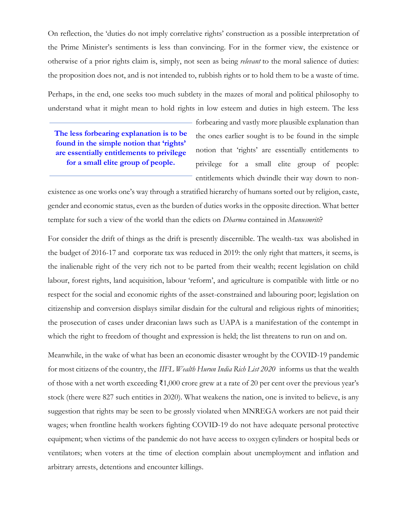On reflection, the 'duties do not imply correlative rights' construction as a possible interpretation of the Prime Minister's sentiments is less than convincing. For in the former view, the existence or otherwise of a prior rights claim is, simply, not seen as being *relevant* to the moral salience of duties: the proposition does not, and is not intended to, rubbish rights or to hold them to be a waste of time.

Perhaps, in the end, one seeks too much subtlety in the mazes of moral and political philosophy to understand what it might mean to hold rights in low esteem and duties in high esteem. The less

**The less forbearing explanation is to be found in the simple notion that 'rights' are essentially entitlements to privilege for a small elite group of people.**

forbearing and vastly more plausible explanation than the ones earlier sought is to be found in the simple notion that 'rights' are essentially entitlements to privilege for a small elite group of people: entitlements which dwindle their way down to non-

existence as one works one's way through a stratified hierarchy of humans sorted out by religion, caste, gender and economic status, even as the burden of duties works in the opposite direction. What better template for such a view of the world than the edicts on *Dharma* contained in *Manusmriti*?

For consider the drift of things as the drift is presently discernible. The wealth-tax was abolished in the budget of 2016-17 and corporate tax was reduced in 2019: the only right that matters, it seems, is the inalienable right of the very rich not to be parted from their wealth; recent legislation on child labour, forest rights, land acquisition, labour 'reform', and agriculture is compatible with little or no respect for the social and economic rights of the asset-constrained and labouring poor; legislation on citizenship and conversion displays similar disdain for the cultural and religious rights of minorities; the prosecution of cases under draconian laws such as UAPA is a manifestation of the contempt in which the right to freedom of thought and expression is held; the list threatens to run on and on.

Meanwhile, in the wake of what has been an economic disaster wrought by the COVID-19 pandemic for most citizens of the country, the *IIFL Wealth Hurun India Rich List 2020* informs us that the wealth of those with a net worth exceeding ₹1,000 crore grew at a rate of 20 per cent over the previous year's stock (there were 827 such entities in 2020). What weakens the nation, one is invited to believe, is any suggestion that rights may be seen to be grossly violated when MNREGA workers are not paid their wages; when frontline health workers fighting COVID-19 do not have adequate personal protective equipment; when victims of the pandemic do not have access to oxygen cylinders or hospital beds or ventilators; when voters at the time of election complain about unemployment and inflation and arbitrary arrests, detentions and encounter killings.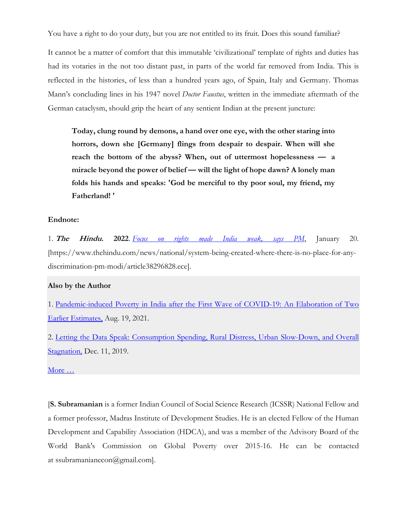You have a right to do your duty, but you are not entitled to its fruit. Does this sound familiar?

It cannot be a matter of comfort that this immutable 'civilizational' template of rights and duties has had its votaries in the not too distant past, in parts of the world far removed from India. This is reflected in the histories, of less than a hundred years ago, of Spain, Italy and Germany. Thomas Mann's concluding lines in his 1947 novel *Doctor Faustus*, written in the immediate aftermath of the German cataclysm, should grip the heart of any sentient Indian at the present juncture:

**Today, clung round by demons, a hand over one eye, with the other staring into horrors, down she [Germany] flings from despair to despair. When will she reach the bottom of the abyss? When, out of uttermost hopelessness — a miracle beyond the power of belief — will the light of hope dawn? A lonely man folds his hands and speaks: 'God be merciful to thy poor soul, my friend, my Fatherland! '**

# **Endnote:**

1. **The Hindu. 2022**. *[Focus on rights made India weak, says PM](https://www.thehindu.com/news/national/system-being-created-where-there-is-no-place-for-any-discrimination-pm-modi/article38296828.ece)*, January 20. [https://www.thehindu.com/news/national/system-being-created-where-there-is-no-place-for-anydiscrimination-pm-modi/article38296828.ece].

# **Also by the Author**

1. [Pandemic-induced Poverty in India after the First Wave of COVID-19: An Elaboration of Two](http://eceappcluster:8080/thc/publications/issue-brief/article35974299.ece)  [Earlier Estimates,](http://eceappcluster:8080/thc/publications/issue-brief/article35974299.ece) Aug. 19, 2021.

2. [Letting the Data Speak: Consumption Spending, Rural Distress, Urban](https://www.thehinducentre.com/the-arena/current-issues/article30265409.ece) Slow-Down, and Overall **Stagnation**, Dec. 11, 2019.

More  $\dots$ 

[**S. Subramanian** is a former Indian Council of Social Science Research (ICSSR) National Fellow and a former professor, Madras Institute of Development Studies. He is an elected Fellow of the Human Development and Capability Association (HDCA), and was a member of the Advisory Board of the World Bank's Commission on Global Poverty over 2015-16. He can be contacted at ssubramanianecon@gmail.com].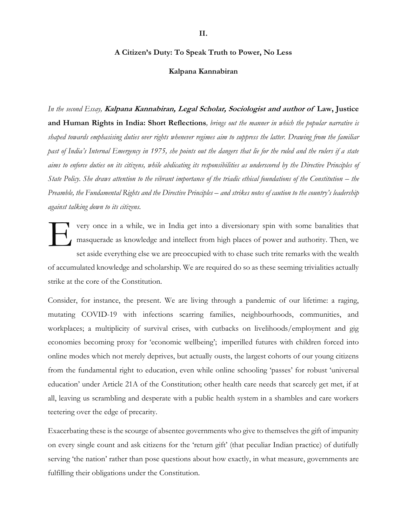# **A Citizen's Duty: To Speak Truth to Power, No Less**

#### **Kalpana Kannabiran**

*In the second Essay,* **Kalpana Kannabiran, Legal Scholar, Sociologist and author of Law, Justice and Human Rights in India: Short Reflections***, brings out the manner in which the popular narrative is shaped towards emphasising duties over rights whenever regimes aim to suppress the latter. Drawing from the familiar past of India's Internal Emergency in 1975, she points out the dangers that lie for the ruled and the rulers if a state aims to enforce duties on its citizens, while abdicating its responsibilities as underscored by the Directive Principles of State Policy. She draws attention to the vibrant importance of the triadic ethical foundations of the Constitution – the Preamble, the Fundamental Rights and the Directive Principles – and strikes notes of caution to the country's leadership against talking down to its citizens.*

very once in a while, we in India get into a diversionary spin with some banalities that masquerade as knowledge and intellect from high places of power and authority. Then, we set aside everything else we are preoccupied with to chase such trite remarks with the wealth of accumulated knowledge and scholarship. We are required do so as these seeming trivialities actually strike at the core of the Constitution. E

Consider, for instance, the present. We are living through a pandemic of our lifetime: a raging, mutating COVID-19 with infections scarring families, neighbourhoods, communities, and workplaces; a multiplicity of survival crises, with cutbacks on livelihoods/employment and gig economies becoming proxy for 'economic wellbeing'; imperilled futures with children forced into online modes which not merely deprives, but actually ousts, the largest cohorts of our young citizens from the fundamental right to education, even while online schooling 'passes' for robust 'universal education' under Article 21A of the Constitution; other health care needs that scarcely get met, if at all, leaving us scrambling and desperate with a public health system in a shambles and care workers teetering over the edge of precarity.

Exacerbating these is the scourge of absentee governments who give to themselves the gift of impunity on every single count and ask citizens for the 'return gift' (that peculiar Indian practice) of dutifully serving 'the nation' rather than pose questions about how exactly, in what measure, governments are fulfilling their obligations under the Constitution.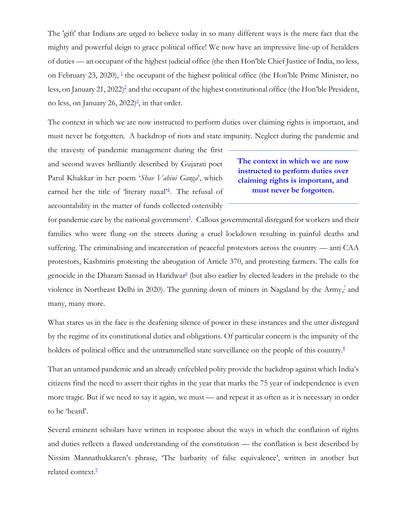The 'gift' that Indians are urged to believe today in so many different ways is the mere fact that the mighty and powerful deign to grace political office! We now have an impressive line-up of heralders of duties — an occupant of the highest judicial office (the then Hon'ble Chief Justice of India, no less, on February 23, 2020), <sup>[1](https://www.thehinducentre.com/the-arena/current-issues/article38363802.ece#one1)</sup> the occupant of the highest political office (the Hon'ble Prime Minister, no less, on January 21, 2022[\)](https://www.thehinducentre.com/the-arena/current-issues/article38363802.ece#two2)<sup>2</sup> and the occupant of the highest constitutional office (the Hon'ble President, no less, on January 26, 2022[\)](https://www.thehinducentre.com/the-arena/current-issues/article38363802.ece#three3) 3 , in that order.

The context in which we are now instructed to perform duties over claiming rights is important, and must never be forgotten. A backdrop of riots and state impunity. Neglect during the pandemic and

the travesty of pandemic management during the first and second waves brilliantly described by Gujarati poet Parul Khakkar in her poem '*Shav Vahini Ganga*', which earned her the title of ['](https://www.thehinducentre.com/the-arena/current-issues/article38363802.ece#four4)literary naxal'<sup>4</sup>. The refusal of accountability in the matter of funds collected ostensibly

# **The context in which we are now instructed to perform duties over claiming rights is important, and must never be forgotten.**

for pandemic care by [t](https://www.thehinducentre.com/the-arena/current-issues/article38363802.ece#five5)he national government<sup>5</sup>. Callous governmental disregard for workers and their families who were flung on the streets during a cruel lockdown resulting in painful deaths and suffering. The criminalising and incarceration of peaceful protestors across the country — anti CAA protestors, Kashmiris protesting the abrogation of Article 370, and protesting farmers. The calls for genocide in the Dha[r](https://www.thehinducentre.com/the-arena/current-issues/article38363802.ece#six6)am Sansad in Haridwar<sup>6</sup> (but also earlier by elected leaders in the prelude to the violence in Northeast Delhi in 2020). The gunning down of miners in Nagaland by the Army[,](https://www.thehinducentre.com/the-arena/current-issues/article38363802.ece#seven7)<sup>7</sup> and many, many more.

What stares us in the face is the deafening silence of power in these instances and the utter disregard by the regime of its constitutional duties and obligations. Of particular concern is the impunity of the holders of political office and the untrammelled state surveillance on the people of this country[.](https://www.thehinducentre.com/the-arena/current-issues/article38363802.ece#eight8)<sup>8</sup>

That an untamed pandemic and an already enfeebled polity provide the backdrop against which India's citizens find the need to assert their rights in the year that marks the 75 year of independence is even more tragic. But if we need to say it again, we must — and repeat it as often as it is necessary in order to be 'heard'.

Several eminent scholars have written in response about the ways in which the conflation of rights and duties reflects a flawed understanding of the constitution — the conflation is best described by Nissim Mannathukkaren's phrase, 'The barbarity of false equivalence', written in another but related context[.](https://www.thehinducentre.com/the-arena/current-issues/article38363802.ece#nine9)<sup>2</sup>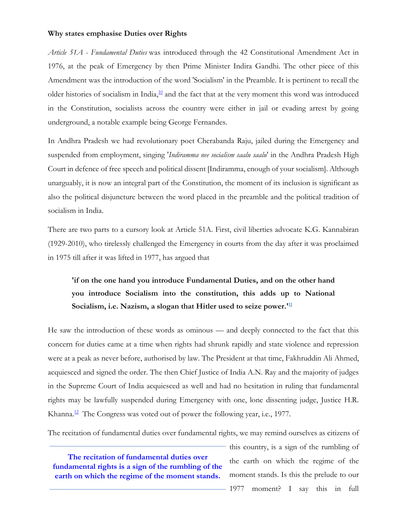## **Why states emphasise Duties over Rights**

*Article 51A - Fundamental Duties* was introduced through the 42 Constitutional Amendment Act in 1976, at the peak of Emergency by then Prime Minister Indira Gandhi. The other piece of this Amendment was the introduction of the word 'Socialism' in the Preamble. It is pertinent to recall the older histories of socialism in India,<sup>[10](https://www.thehinducentre.com/the-arena/current-issues/article38363802.ece#ten10)</sup> and the fact that at the very moment this word was introduced in the Constitution, socialists across the country were either in jail or evading arrest by going underground, a notable example being George Fernandes.

In Andhra Pradesh we had revolutionary poet Cherabanda Raju, jailed during the Emergency and suspended from employment, singing '*Indiramma nee socialism saalu saalu*' in the Andhra Pradesh High Court in defence of free speech and political dissent [Indiramma, enough of your socialism]. Although unarguably, it is now an integral part of the Constitution, the moment of its inclusion is significant as also the political disjuncture between the word placed in the preamble and the political tradition of socialism in India.

There are two parts to a cursory look at Article 51A. First, civil liberties advocate K.G. Kannabiran (1929-2010), who tirelessly challenged the Emergency in courts from the day after it was proclaimed in 1975 till after it was lifted in 1977, has argued that

# **'if on the one hand you introduce Fundamental Duties, and on the other hand you introduce Socialism into the constitution, this adds up to National Socialism, i.e. Nazism, a slogan that Hitler used to seize power.' [11](https://www.thehinducentre.com/the-arena/current-issues/article38363802.ece#eleven11)**

He saw the introduction of these words as ominous — and deeply connected to the fact that this concern for duties came at a time when rights had shrunk rapidly and state violence and repression were at a peak as never before, authorised by law. The President at that time, Fakhruddin Ali Ahmed, acquiesced and signed the order. The then Chief Justice of India A.N. Ray and the majority of judges in the Supreme Court of India acquiesced as well and had no hesitation in ruling that fundamental rights may be lawfully suspended during Emergency with one, lone dissenting judge, Justice H.R. Khanna.<sup>[12](https://www.thehinducentre.com/the-arena/current-issues/article38363802.ece#twelve12)</sup> The Congress was voted out of power the following year, i.e., 1977.

The recitation of fundamental duties over fundamental rights, we may remind ourselves as citizens of

**The recitation of fundamental duties over fundamental rights is a sign of the rumbling of the earth on which the regime of the moment stands.**

this country, is a sign of the rumbling of the earth on which the regime of the moment stands. Is this the prelude to our 1977 moment? I say this in full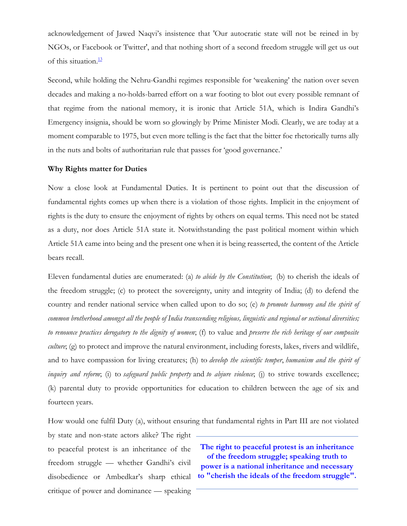acknowledgement of Jawed Naqvi's insistence that 'Our autocratic state will not be reined in by NGOs, or Facebook or Twitter', and that nothing short of a second freedom struggle will get us out of this situation. [13](https://www.thehinducentre.com/the-arena/current-issues/article38363802.ece#thirteen13)

Second, while holding the Nehru-Gandhi regimes responsible for 'weakening' the nation over seven decades and making a no-holds-barred effort on a war footing to blot out every possible remnant of that regime from the national memory, it is ironic that Article 51A, which is Indira Gandhi's Emergency insignia, should be worn so glowingly by Prime Minister Modi. Clearly, we are today at a moment comparable to 1975, but even more telling is the fact that the bitter foe rhetorically turns ally in the nuts and bolts of authoritarian rule that passes for 'good governance.'

## **Why Rights matter for Duties**

Now a close look at Fundamental Duties. It is pertinent to point out that the discussion of fundamental rights comes up when there is a violation of those rights. Implicit in the enjoyment of rights is the duty to ensure the enjoyment of rights by others on equal terms. This need not be stated as a duty, nor does Article 51A state it. Notwithstanding the past political moment within which Article 51A came into being and the present one when it is being reasserted, the content of the Article bears recall.

Eleven fundamental duties are enumerated: (a) *to abide by the Constitution*; (b) to cherish the ideals of the freedom struggle; (c) to protect the sovereignty, unity and integrity of India; (d) to defend the country and render national service when called upon to do so; (e) *to promote harmony and the spirit of common brotherhood amongst all the people of India transcending religious, linguistic and regional or sectional diversities; to renounce practices derogatory to the dignity of women*; (f) to value and *preserve the rich heritage of our composite culture*; (g) to protect and improve the natural environment, including forests, lakes, rivers and wildlife, and to have compassion for living creatures; (h) to *develop the scientific temper*, *humanism and the spirit of inquiry and reform*; (i) to *safeguard public property* and *to abjure violence*; (j) to strive towards excellence; (k) parental duty to provide opportunities for education to children between the age of six and fourteen years.

How would one fulfil Duty (a), without ensuring that fundamental rights in Part III are not violated

by state and non-state actors alike? The right to peaceful protest is an inheritance of the freedom struggle — whether Gandhi's civil disobedience or Ambedkar's sharp ethical critique of power and dominance — speaking

**The right to peaceful protest is an inheritance of the freedom struggle; speaking truth to power is a national inheritance and necessary to "cherish the ideals of the freedom struggle".**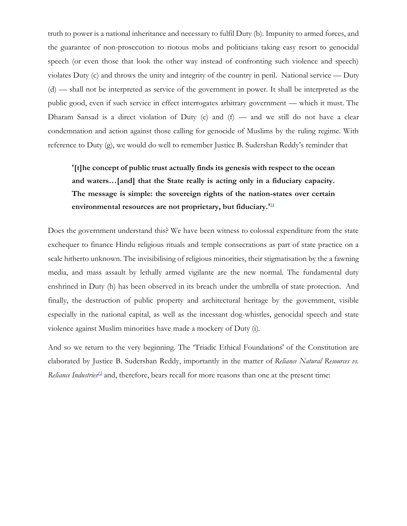truth to power is a national inheritance and necessary to fulfil Duty (b). Impunity to armed forces, and the guarantee of non-prosecution to riotous mobs and politicians taking easy resort to genocidal speech (or even those that look the other way instead of confronting such violence and speech) violates Duty (c) and throws the unity and integrity of the country in peril. National service — Duty (d) — shall not be interpreted as service of the government in power. It shall be interpreted as the public good, even if such service in effect interrogates arbitrary government — which it must. The Dharam Sansad is a direct violation of Duty (e) and  $(f)$  — and we still do not have a clear condemnation and action against those calling for genocide of Muslims by the ruling regime. With reference to Duty (g), we would do well to remember Justice B. Sudershan Reddy's reminder that

# **'[t]he concept of public trust actually finds its genesis with respect to the ocean and waters…[and] that the State really is acting only in a fiduciary capacity. The message is simple: the sovereign rights of the nation-states over certain environmental resources are not proprietary, but fiduciary.' [14](https://www.thehinducentre.com/the-arena/current-issues/article38363802.ece#fourteen14)**

Does the government understand this? We have been witness to colossal expenditure from the state exchequer to finance Hindu religious rituals and temple consecrations as part of state practice on a scale hitherto unknown. The invisibilising of religious minorities, their stigmatisation by the a fawning media, and mass assault by lethally armed vigilante are the new normal. The fundamental duty enshrined in Duty (h) has been observed in its breach under the umbrella of state protection. And finally, the destruction of public property and architectural heritage by the government, visible especially in the national capital, as well as the incessant dog-whistles, genocidal speech and state violence against Muslim minorities have made a mockery of Duty (i).

And so we return to the very beginning. The 'Triadic Ethical Foundations' of the Constitution are elaborated by Justice B. Sudershan Reddy, importantly in the matter of *Reliance Natural Resources vs.*  Reliance Industries<sup>[15](https://www.thehinducentre.com/the-arena/current-issues/article38363802.ece#fifteen15)</sup> and, therefore, bears recall for more reasons than one at the present time: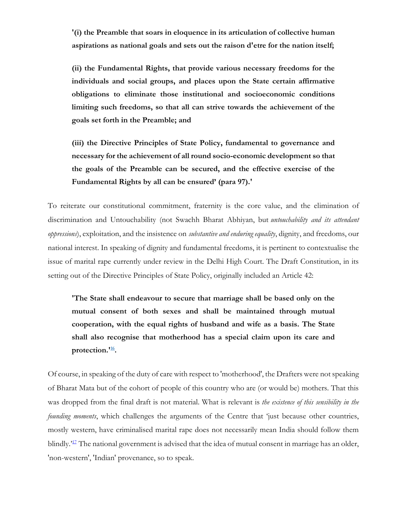**'(i) the Preamble that soars in eloquence in its articulation of collective human aspirations as national goals and sets out the raison d'etre for the nation itself;**

**(ii) the Fundamental Rights, that provide various necessary freedoms for the individuals and social groups, and places upon the State certain affirmative obligations to eliminate those institutional and socioeconomic conditions limiting such freedoms, so that all can strive towards the achievement of the goals set forth in the Preamble; and**

**(iii) the Directive Principles of State Policy, fundamental to governance and necessary for the achievement of all round socio-economic development so that the goals of the Preamble can be secured, and the effective exercise of the Fundamental Rights by all can be ensured' (para 97).'**

To reiterate our constitutional commitment, fraternity is the core value, and the elimination of discrimination and Untouchability (not Swachh Bharat Abhiyan, but *untouchability and its attendant oppressions*), exploitation, and the insistence on *substantive and enduring equality*, dignity, and freedoms, our national interest. In speaking of dignity and fundamental freedoms, it is pertinent to contextualise the issue of marital rape currently under review in the Delhi High Court. The Draft Constitution, in its setting out of the Directive Principles of State Policy, originally included an Article 42:

**'The State shall endeavour to secure that marriage shall be based only on the mutual consent of both sexes and shall be maintained through mutual cooperation, with the equal rights of husband and wife as a basis. The State shall also recognise that motherhood has a special claim upon its care and protection.' [16](https://www.thehinducentre.com/the-arena/current-issues/article38363802.ece#sixteen16) .**

Of course, in speaking of the duty of care with respect to 'motherhood', the Drafters were not speaking of Bharat Mata but of the cohort of people of this country who are (or would be) mothers. That this was dropped from the final draft is not material. What is relevant is *the existence of this sensibility in the founding moments*, which challenges the arguments of the Centre that 'just because other countries, mostly western, have criminalised marital rape does not necessarily mean India should follow them blindly.<sup>[17](https://www.thehinducentre.com/the-arena/current-issues/article38363802.ece#seventeen17)</sup> The national government is advised that the idea of mutual consent in marriage has an older, 'non-western', 'Indian' provenance, so to speak.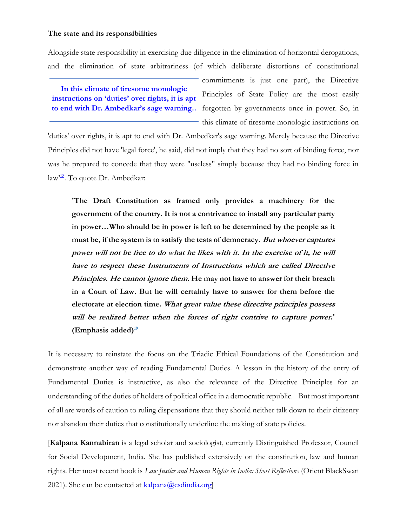## **The state and its responsibilities**

Alongside state responsibility in exercising due diligence in the elimination of horizontal derogations, and the elimination of state arbitrariness (of which deliberate distortions of constitutional

**In this climate of tiresome monologic instructions on 'duties' over rights, it is apt** 

commitments is just one part), the Directive Principles of State Policy are the most easily to end with Dr. Ambedkar's sage warning.. forgotten by governments once in power. So, in this climate of tiresome monologic instructions on

'duties' over rights, it is apt to end with Dr. Ambedkar's sage warning. Merely because the Directive Principles did not have 'legal force', he said, did not imply that they had no sort of binding force, nor was he prepared to concede that they were "useless" simply because they had no binding force in law<sup>3[18](https://www.thehinducentre.com/the-arena/current-issues/article38363802.ece#eighteen18)</sup>. To quote Dr. Ambedkar:

**'The Draft Constitution as framed only provides a machinery for the government of the country. It is not a contrivance to install any particular party in power…Who should be in power is left to be determined by the people as it must be, if the system is to satisfy the tests of democracy. But whoever captures power will not be free to do what he likes with it. In the exercise of it, he will have to respect these Instruments of Instructions which are called Directive Principles. He cannot ignore them. He may not have to answer for their breach in a Court of Law. But he will certainly have to answer for them before the electorate at election time. What great value these directive principles possess will be realized better when the forces of right contrive to capture power.' (Emphasis added) [19](https://www.thehinducentre.com/the-arena/current-issues/article38363802.ece#nineteen19)**

It is necessary to reinstate the focus on the Triadic Ethical Foundations of the Constitution and demonstrate another way of reading Fundamental Duties. A lesson in the history of the entry of Fundamental Duties is instructive, as also the relevance of the Directive Principles for an understanding of the duties of holders of political office in a democratic republic. But most important of all are words of caution to ruling dispensations that they should neither talk down to their citizenry nor abandon their duties that constitutionally underline the making of state policies.

[**Kalpana Kannabiran** is a legal scholar and sociologist, currently Distinguished Professor, Council for Social Development, India. She has published extensively on the constitution, law and human rights. Her most recent book is *Law Justice and Human Rights in India: Short Reflections* (Orient BlackSwan 2021). She can be contacted at  $\frac{\text{kalpana}(a)\text{csdindia.org}}{\text{Lapl}}$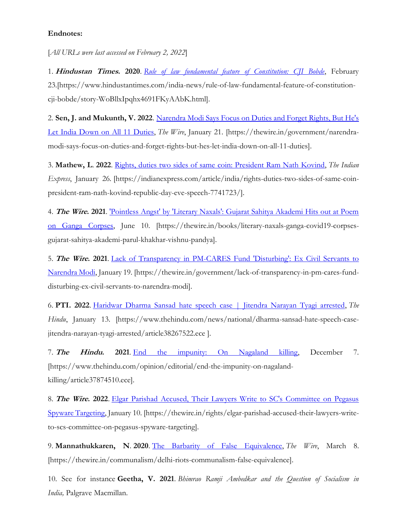# **Endnotes:**

[*All URLs were last accessed on February 2, 2022*]

1. **Hindustan Times. 2020**. *[Rule of law fundamental feature of Constitution: CJI Bobde](https://www.hindustantimes.com/india-news/rule-of-law-fundamental-feature-of-constitution-cji-bobde/story-WoBllxIpqhx4691FKyAAbK.html)*, February 23.[https://www.hindustantimes.com/india-news/rule-of-law-fundamental-feature-of-constitutioncji-bobde/story-WoBllxIpqhx4691FKyAAbK.html].

2. **Sen, J. and Mukunth, V. 2022**. [Narendra Modi Says Focus on Duties and Forget Rights, But He's](https://thewire.in/government/narendra-modi-says-focus-on-duties-and-forget-rights-but-hes-let-india-down-on-all-11-duties)  [Let India Down on All 11 Duties,](https://thewire.in/government/narendra-modi-says-focus-on-duties-and-forget-rights-but-hes-let-india-down-on-all-11-duties) *The Wire*, January 21. [https://thewire.in/government/narendramodi-says-focus-on-duties-and-forget-rights-but-hes-let-india-down-on-all-11-duties].

3. **Mathew, L**. **2022**. [Rights, duties two sides of same coin: President Ram Nath Kovind,](https://indianexpress.com/article/india/rights-duties-two-sides-of-same-coin-president-ram-nath-kovind-republic-day-eve-speech-7741723/) *The Indian Express*, January 26*.* [https://indianexpress.com/article/india/rights-duties-two-sides-of-same-coinpresident-ram-nath-kovind-republic-day-eve-speech-7741723/].

4. **The Wire. 2021**. ['Pointless Angst' by 'Literary Naxals': Gujarat Sahitya Akademi Hits out at Poem](https://thewire.in/books/literary-naxals-ganga-covid19-corpses-gujarat-sahitya-akademi-parul-khakhar-vishnu-pandya)  [on Ganga Corpses,](https://thewire.in/books/literary-naxals-ganga-covid19-corpses-gujarat-sahitya-akademi-parul-khakhar-vishnu-pandya) June 10. [https://thewire.in/books/literary-naxals-ganga-covid19-corpsesgujarat-sahitya-akademi-parul-khakhar-vishnu-pandya].

5. **The Wire. 2021**. [Lack of Transparency in PM-CARES Fund 'Disturbing': Ex Civil Servants to](https://thewire.in/government/lack-of-transparency-in-pm-cares-fund-disturbing-ex-civil-servants-to-narendra-modi)  [Narendra Modi,](https://thewire.in/government/lack-of-transparency-in-pm-cares-fund-disturbing-ex-civil-servants-to-narendra-modi) January 19. [https://thewire.in/government/lack-of-transparency-in-pm-cares-funddisturbing-ex-civil-servants-to-narendra-modi].

6. **PTI. 2022**. [Haridwar Dharma Sansad hate speech case | Jitendra Narayan Tyagi arrested,](https://www.thehindu.com/news/national/dharma-sansad-hate-speech-case-jitendra-narayan-tyagi-arrested/article38267522.ece) *The Hindu*, January 13. [https://www.thehindu.com/news/national/dharma-sansad-hate-speech-casejitendra-narayan-tyagi-arrested/article38267522.ece ].

7. **The Hindu. 2021**. [End the impunity: On Nagaland killing,](https://www.thehindu.com/opinion/editorial/end-the-impunity-on-nagaland-killing/article37874510.ece) December 7. [https://www.thehindu.com/opinion/editorial/end-the-impunity-on-nagalandkilling/article37874510.ece].

8. **The Wire. 2022**. [Elgar Parishad Accused, Their Lawyers Write to SC's Committee on Pegasus](https://thewire.in/rights/elgar-parishad-accused-their-lawyers-write-to-scs-committee-on-pegasus-spyware-targeting)  [Spyware Targeting,](https://thewire.in/rights/elgar-parishad-accused-their-lawyers-write-to-scs-committee-on-pegasus-spyware-targeting) January 10. [https://thewire.in/rights/elgar-parishad-accused-their-lawyers-writeto-scs-committee-on-pegasus-spyware-targeting].

9. **Mannathukkaren, N**. **2020**. [The Barbarity of False Equivalence,](https://thewire.in/communalism/delhi-riots-communalism-false-equivalence) *The Wire*, March 8. [https://thewire.in/communalism/delhi-riots-communalism-false-equivalence].

10. See for instance **Geetha, V. 2021**. *Bhimrao Ramji Ambedkar and the Question of Socialism in India,* Palgrave Macmillan.